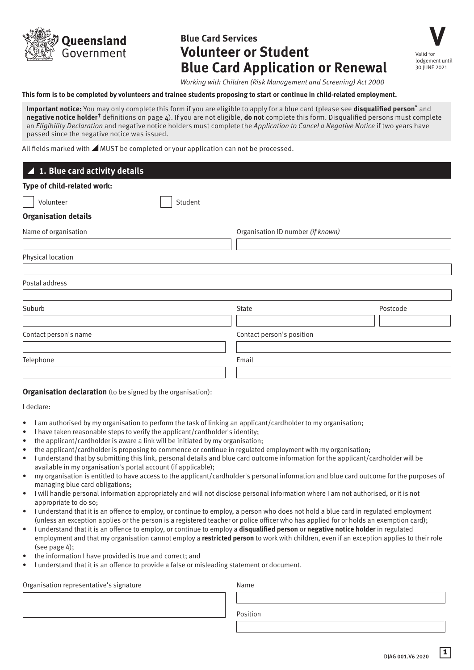

# **Blue Card Services Volunteer or Student Blue Card Application or Renewal**

**V** Valid for lodgement until 30 JUNE 2021

*Working with Children (Risk Management and Screening) Act 2000*

#### **This form is to be completed by volunteers and trainee students proposing to start or continue in child-related employment.**

**Important notice:** You may only complete this form if you are eligible to apply for a blue card (please see **disqualified person\*** and **negative notice holder†** definitions on page 4). If you are not eligible, **do not** complete this form. Disqualified persons must complete an *Eligibility Declaration* and negative notice holders must complete the *Application to Cancel a Negative Notice* if two years have passed since the negative notice was issued.

All fields marked with **AMUST** be completed or your application can not be processed.

| ▲ 1. Blue card activity details |                                   |          |  |
|---------------------------------|-----------------------------------|----------|--|
| Type of child-related work:     |                                   |          |  |
| Student<br>Volunteer            |                                   |          |  |
| <b>Organisation details</b>     |                                   |          |  |
| Name of organisation            | Organisation ID number (if known) |          |  |
|                                 |                                   |          |  |
| Physical location               |                                   |          |  |
| Postal address                  |                                   |          |  |
| Suburb                          | State                             | Postcode |  |
| Contact person's name           | Contact person's position         |          |  |
| Telephone                       | Email                             |          |  |
|                                 |                                   |          |  |

#### **Organisation declaration** (to be signed by the organisation):

I declare:

- I am authorised by my organisation to perform the task of linking an applicant/cardholder to my organisation;
- I have taken reasonable steps to verify the applicant/cardholder's identity;
- the applicant/cardholder is aware a link will be initiated by my organisation;
- the applicant/cardholder is proposing to commence or continue in regulated employment with my organisation;
- I understand that by submitting this link, personal details and blue card outcome information for the applicant/cardholder will be available in my organisation's portal account (if applicable);
- my organisation is entitled to have access to the applicant/cardholder's personal information and blue card outcome for the purposes of managing blue card obligations;
- I will handle personal information appropriately and will not disclose personal information where I am not authorised, or it is not appropriate to do so;
- I understand that it is an offence to employ, or continue to employ, a person who does not hold a blue card in regulated employment (unless an exception applies or the person is a registered teacher or police officer who has applied for or holds an exemption card);
- I understand that it is an offence to employ, or continue to employ a **disqualified person** or **negative notice holder** in regulated employment and that my organisation cannot employ a **restricted person** to work with children, even if an exception applies to their role  $(\text{see page 4})$
- the information I have provided is true and correct; and
- I understand that it is an offence to provide a false or misleading statement or document.

Organisation representative's signature Name

Position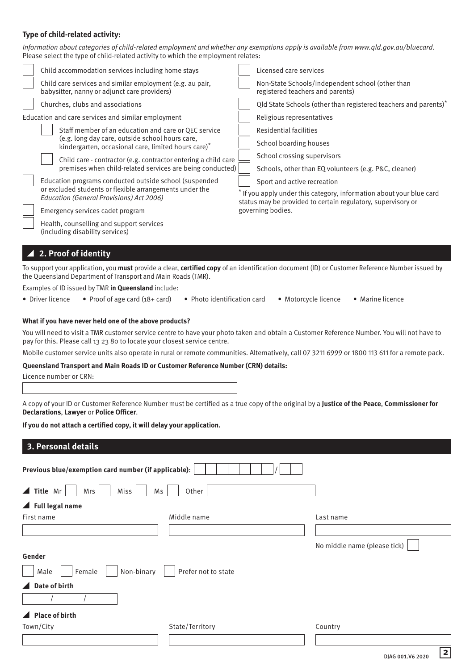#### **Type of child-related activity:**

*Information about categories of child-related employment and whether any exemptions apply is available from www.qld.gov.au/bluecard.* Please select the type of child-related activity to which the employment relates:

|  | Child accommodation services including home stays                                                                                                                                                                                                                                                                                                                                                                                                                          |                                                                                                                                      | Licensed care services                                                               |  |  |
|--|----------------------------------------------------------------------------------------------------------------------------------------------------------------------------------------------------------------------------------------------------------------------------------------------------------------------------------------------------------------------------------------------------------------------------------------------------------------------------|--------------------------------------------------------------------------------------------------------------------------------------|--------------------------------------------------------------------------------------|--|--|
|  | Child care services and similar employment (e.g. au pair,<br>babysitter, nanny or adjunct care providers)                                                                                                                                                                                                                                                                                                                                                                  |                                                                                                                                      | Non-State Schools/independent school (other than<br>registered teachers and parents) |  |  |
|  | Churches, clubs and associations                                                                                                                                                                                                                                                                                                                                                                                                                                           |                                                                                                                                      | Qld State Schools (other than registered teachers and parents)*                      |  |  |
|  | Education and care services and similar employment                                                                                                                                                                                                                                                                                                                                                                                                                         |                                                                                                                                      | Religious representatives                                                            |  |  |
|  | Staff member of an education and care or QEC service<br>(e.g. long day care, outside school hours care,<br>kindergarten, occasional care, limited hours care) <sup>*</sup><br>Child care - contractor (e.g. contractor entering a child care<br>premises when child-related services are being conducted)<br>Education programs conducted outside school (suspended<br>or excluded students or flexible arrangements under the<br>Education (General Provisions) Act 2006) |                                                                                                                                      | Residential facilities                                                               |  |  |
|  |                                                                                                                                                                                                                                                                                                                                                                                                                                                                            |                                                                                                                                      | School boarding houses                                                               |  |  |
|  |                                                                                                                                                                                                                                                                                                                                                                                                                                                                            |                                                                                                                                      | School crossing supervisors                                                          |  |  |
|  |                                                                                                                                                                                                                                                                                                                                                                                                                                                                            |                                                                                                                                      | Schools, other than EQ volunteers (e.g. P&C, cleaner)                                |  |  |
|  |                                                                                                                                                                                                                                                                                                                                                                                                                                                                            |                                                                                                                                      | Sport and active recreation                                                          |  |  |
|  |                                                                                                                                                                                                                                                                                                                                                                                                                                                                            | * If you apply under this category, information about your blue card<br>status may be provided to certain regulatory, supervisory or |                                                                                      |  |  |
|  | Emergency services cadet program                                                                                                                                                                                                                                                                                                                                                                                                                                           |                                                                                                                                      | governing bodies.                                                                    |  |  |
|  | Health, counselling and support services<br>(including disability services)                                                                                                                                                                                                                                                                                                                                                                                                |                                                                                                                                      |                                                                                      |  |  |
|  | $\blacktriangle$ 2. Proof of identity                                                                                                                                                                                                                                                                                                                                                                                                                                      |                                                                                                                                      |                                                                                      |  |  |

To support your application, you **must** provide a clear, **certified copy** of an identification document (ID) or Customer Reference Number issued by the Queensland Department of Transport and Main Roads (TMR).

Examples of ID issued by TMR **in Queensland** include:

- Driver licence Proof of age card (18+ card) Photo identification card Motorcycle licence Marine licence
- 
- 

#### **What if you have never held one of the above products?**

You will need to visit a TMR customer service centre to have your photo taken and obtain a Customer Reference Number. You will not have to pay for this. Please call 13 23 80 to locate your closest service centre.

Mobile customer service units also operate in rural or remote communities. Alternatively, call 07 3211 6999 or 1800 113 611 for a remote pack.

#### **Queensland Transport and Main Roads ID or Customer Reference Number (CRN) details:**

Licence number or CRN:

A copy of your ID or Customer Reference Number must be certified as a true copy of the original by a **Justice of the Peace**, **Commissioner for Declarations**, **Lawyer** or **Police Officer**.

**If you do not attach a certified copy, it will delay your application.**

### **3. Personal details**

| Previous blue/exemption card number (if applicable):    |                 |                              |  |  |  |  |  |  |
|---------------------------------------------------------|-----------------|------------------------------|--|--|--|--|--|--|
| $\blacktriangle$ Title Mr<br>Miss<br>Other<br>Mrs<br>Ms |                 |                              |  |  |  |  |  |  |
| $\blacktriangle$ Full legal name                        |                 |                              |  |  |  |  |  |  |
| First name                                              | Middle name     | Last name                    |  |  |  |  |  |  |
|                                                         |                 |                              |  |  |  |  |  |  |
|                                                         |                 | No middle name (please tick) |  |  |  |  |  |  |
| Gender                                                  |                 |                              |  |  |  |  |  |  |
| Non-binary<br>Prefer not to state<br>Male<br>Female     |                 |                              |  |  |  |  |  |  |
| $\triangle$ Date of birth                               |                 |                              |  |  |  |  |  |  |
|                                                         |                 |                              |  |  |  |  |  |  |
| ▲ Place of birth                                        |                 |                              |  |  |  |  |  |  |
| Town/City                                               | State/Territory | Country                      |  |  |  |  |  |  |
|                                                         |                 |                              |  |  |  |  |  |  |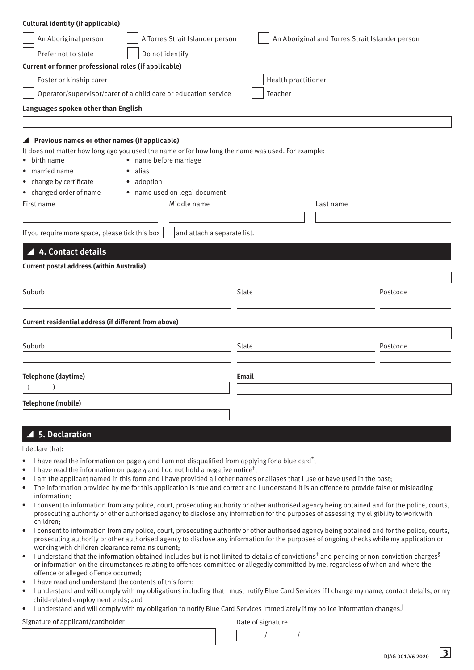| <b>Cultural identity (if applicable)</b>                                                                                                                                                                 |                                                                                                                                                                                                                                     |                                                 |           |          |  |  |  |  |  |
|----------------------------------------------------------------------------------------------------------------------------------------------------------------------------------------------------------|-------------------------------------------------------------------------------------------------------------------------------------------------------------------------------------------------------------------------------------|-------------------------------------------------|-----------|----------|--|--|--|--|--|
| An Aboriginal person                                                                                                                                                                                     | A Torres Strait Islander person                                                                                                                                                                                                     | An Aboriginal and Torres Strait Islander person |           |          |  |  |  |  |  |
| Prefer not to state                                                                                                                                                                                      | Do not identify                                                                                                                                                                                                                     |                                                 |           |          |  |  |  |  |  |
| Current or former professional roles (if applicable)                                                                                                                                                     |                                                                                                                                                                                                                                     |                                                 |           |          |  |  |  |  |  |
| Health practitioner<br>Foster or kinship carer                                                                                                                                                           |                                                                                                                                                                                                                                     |                                                 |           |          |  |  |  |  |  |
| Operator/supervisor/carer of a child care or education service<br>Teacher                                                                                                                                |                                                                                                                                                                                                                                     |                                                 |           |          |  |  |  |  |  |
| Languages spoken other than English                                                                                                                                                                      |                                                                                                                                                                                                                                     |                                                 |           |          |  |  |  |  |  |
|                                                                                                                                                                                                          |                                                                                                                                                                                                                                     |                                                 |           |          |  |  |  |  |  |
| ▲ Previous names or other names (if applicable)<br>• birth name<br>• married name<br>• change by certificate<br>• changed order of name<br>First name<br>If you require more space, please tick this box | It does not matter how long ago you used the name or for how long the name was used. For example:<br>• name before marriage<br>• alias<br>• adoption<br>• name used on legal document<br>Middle name<br>and attach a separate list. |                                                 | Last name |          |  |  |  |  |  |
| 4. Contact details                                                                                                                                                                                       |                                                                                                                                                                                                                                     |                                                 |           |          |  |  |  |  |  |
| <b>Current postal address (within Australia)</b>                                                                                                                                                         |                                                                                                                                                                                                                                     |                                                 |           |          |  |  |  |  |  |
|                                                                                                                                                                                                          |                                                                                                                                                                                                                                     |                                                 |           |          |  |  |  |  |  |
| Suburb                                                                                                                                                                                                   |                                                                                                                                                                                                                                     | <b>State</b>                                    |           | Postcode |  |  |  |  |  |
| Current residential address (if different from above)                                                                                                                                                    |                                                                                                                                                                                                                                     |                                                 |           |          |  |  |  |  |  |
| Suburb                                                                                                                                                                                                   |                                                                                                                                                                                                                                     | <b>State</b>                                    |           | Postcode |  |  |  |  |  |
|                                                                                                                                                                                                          |                                                                                                                                                                                                                                     |                                                 |           |          |  |  |  |  |  |
| Telephone (daytime)                                                                                                                                                                                      |                                                                                                                                                                                                                                     | <b>Email</b>                                    |           |          |  |  |  |  |  |
|                                                                                                                                                                                                          |                                                                                                                                                                                                                                     |                                                 |           |          |  |  |  |  |  |
| <b>Telephone (mobile)</b>                                                                                                                                                                                |                                                                                                                                                                                                                                     |                                                 |           |          |  |  |  |  |  |
| <b>5. Declaration</b>                                                                                                                                                                                    |                                                                                                                                                                                                                                     |                                                 |           |          |  |  |  |  |  |
| $1$ doclara that                                                                                                                                                                                         |                                                                                                                                                                                                                                     |                                                 |           |          |  |  |  |  |  |

- I declare that:
- I have read the information on page 4 and I am not disqualified from applying for a blue card<sup>\*</sup>;
- I have read the information on page  $4$  and I do not hold a negative notice<sup>t</sup>;
- I am the applicant named in this form and I have provided all other names or aliases that I use or have used in the past;
- The information provided by me for this application is true and correct and I understand it is an offence to provide false or misleading information;
- I consent to information from any police, court, prosecuting authority or other authorised agency being obtained and for the police, courts, prosecuting authority or other authorised agency to disclose any information for the purposes of assessing my eligibility to work with children;
- I consent to information from any police, court, prosecuting authority or other authorised agency being obtained and for the police, courts, prosecuting authority or other authorised agency to disclose any information for the purposes of ongoing checks while my application or working with children clearance remains current;
- I understand that the information obtained includes but is not limited to details of convictions<sup>‡</sup> and pending or non-conviction charges<sup>§</sup> or information on the circumstances relating to offences committed or allegedly committed by me, regardless of when and where the offence or alleged offence occurred;
- I have read and understand the contents of this form;
- I understand and will comply with my obligations including that I must notify Blue Card Services if I change my name, contact details, or my child-related employment ends; and
- I understand and will comply with my obligation to notify Blue Card Services immediately if my police information changes.|

# Signature of applicant/cardholder and the Date of signature Date of signature



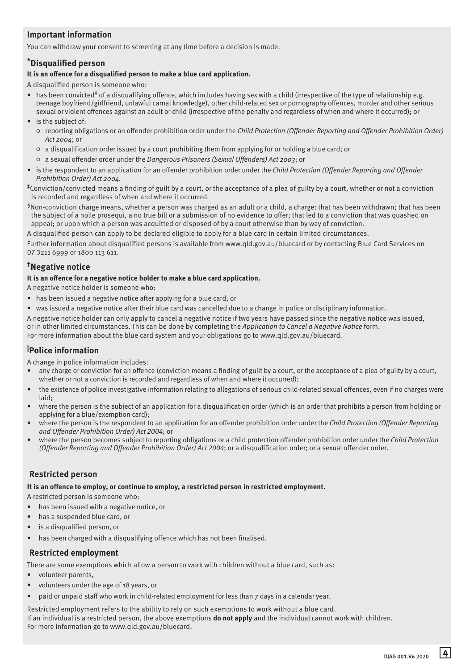# **Important information**

You can withdraw your consent to screening at any time before a decision is made.

# **\*Disqualified person**

#### **It is an offence for a disqualified person to make a blue card application.**

A disqualified person is someone who:

- has been convicted<sup>‡</sup> of a disqualifying offence, which includes having sex with a child (irrespective of the type of relationship e.g. teenage boyfriend/girlfriend, unlawful carnal knowledge), other child-related sex or pornography offences, murder and other serious sexual or violent offences against an adult or child (irrespective of the penalty and regardless of when and where it occurred); or
- is the subject of:
	- reporting obligations or an offender prohibition order under the *Child Protection (Offender Reporting and Offender Prohibition Order) Act 2004*; or
	- a disqualification order issued by a court prohibiting them from applying for or holding a blue card; or
	- a sexual offender order under the *Dangerous Prisoners (Sexual Offenders) Act 2003*; or
- is the respondent to an application for an offender prohibition order under the *Child Protection (Offender Reporting and Offender Prohibition Order) Act 2004.*

‡Conviction/convicted means a finding of guilt by a court, or the acceptance of a plea of guilty by a court, whether or not a conviction is recorded and regardless of when and where it occurred.

 $§$ Non-conviction charge means, whether a person was charged as an adult or a child, a charge: that has been withdrawn; that has been the subject of a nolle prosequi, a no true bill or a submission of no evidence to offer; that led to a conviction that was quashed on appeal; or upon which a person was acquitted or disposed of by a court otherwise than by way of conviction.

A disqualified person can apply to be declared eligible to apply for a blue card in certain limited circumstances.

Further information about disqualified persons is available from www.qld.gov.au/bluecard or by contacting Blue Card Services on 07 3211 6999 or 1800 113 611.

# **†Negative notice**

#### **It is an offence for a negative notice holder to make a blue card application.**

A negative notice holder is someone who:

- has been issued a negative notice after applying for a blue card; or
- was issued a negative notice after their blue card was cancelled due to a change in police or disciplinary information.
- A negative notice holder can only apply to cancel a negative notice if two years have passed since the negative notice was issued, or in other limited circumstances. This can be done by completing the *Application to Cancel a Negative Notice* form.

For more information about the blue card system and your obligations go to www.qld.gov.au/bluecard.

# **| Police information**

A change in police information includes:

- any charge or conviction for an offence (conviction means a finding of guilt by a court, or the acceptance of a plea of guilty by a court, whether or not a conviction is recorded and regardless of when and where it occurred);
- the existence of police investigative information relating to allegations of serious child-related sexual offences, even if no charges were laid;
- where the person is the subject of an application for a disqualification order (which is an order that prohibits a person from holding or applying for a blue/exemption card);
- where the person is the respondent to an application for an offender prohibition order under the *Child Protection (Offender Reporting and Offender Prohibition Order) Act 2004*; or
- where the person becomes subject to reporting obligations or a child protection offender prohibition order under the *Child Protection (Offender Reporting and Offender Prohibition Order) Act 2004*; or a disqualification order; or a sexual offender order.

# **Restricted person**

**It is an offence to employ, or continue to employ, a restricted person in restricted employment.**

A restricted person is someone who:

- has been issued with a negative notice, or
- has a suspended blue card, or
- is a disqualified person, or
- has been charged with a disqualifying offence which has not been finalised.

# **Restricted employment**

There are some exemptions which allow a person to work with children without a blue card, such as:

- volunteer parents,
- volunteers under the age of 18 years, or
- paid or unpaid staff who work in child-related employment for less than 7 days in a calendar year.

Restricted employment refers to the ability to rely on such exemptions to work without a blue card. If an individual is a restricted person, the above exemptions **do not apply** and the individual cannot work with children. For more information go to www.qld.gov.au/bluecard.